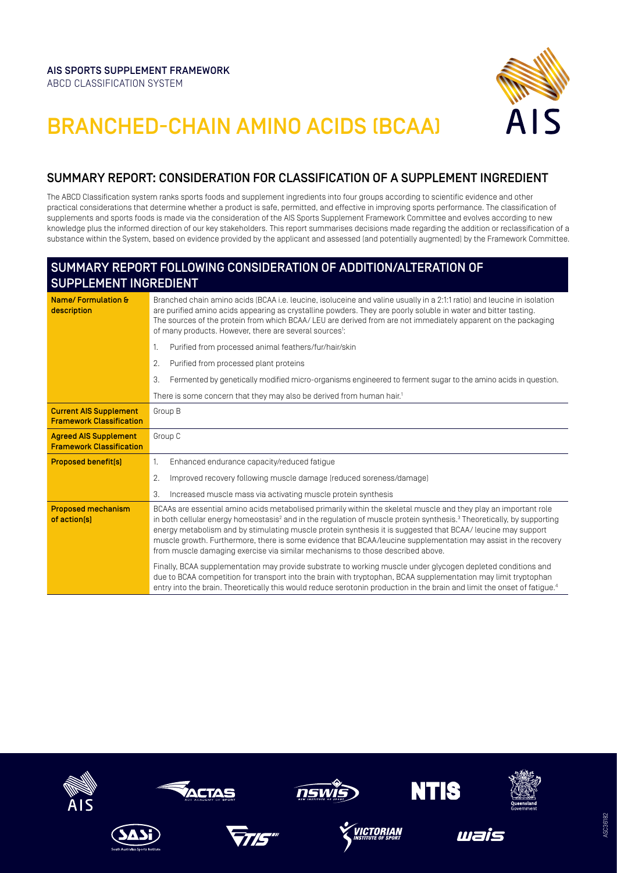

## BRANCHED-CHAIN AMINO ACIDS (BCAA)

## SUMMARY REPORT: CONSIDERATION FOR CLASSIFICATION OF A SUPPLEMENT INGREDIENT

The ABCD Classification system ranks sports foods and supplement ingredients into four groups according to scientific evidence and other practical considerations that determine whether a product is safe, permitted, and effective in improving sports performance. The classification of supplements and sports foods is made via the consideration of the AIS Sports Supplement Framework Committee and evolves according to new knowledge plus the informed direction of our key stakeholders. This report summarises decisions made regarding the addition or reclassification of a substance within the System, based on evidence provided by the applicant and assessed (and potentially augmented) by the Framework Committee.

## SUMMARY REPORT FOLLOWING CONSIDERATION OF ADDITION/ALTERATION OF SUPPLEMENT INGREDIENT

| Name/Formulation &<br>description                                | Branched chain amino acids (BCAA i.e. leucine, isoluceine and valine usually in a 2:1:1 ratio) and leucine in isolation<br>are purified amino acids appearing as crystalline powders. They are poorly soluble in water and bitter tasting.<br>The sources of the protein from which BCAA/LEU are derived from are not immediately apparent on the packaging<br>of many products. However, there are several sources <sup>1</sup> :                                                                                                                                                     |
|------------------------------------------------------------------|----------------------------------------------------------------------------------------------------------------------------------------------------------------------------------------------------------------------------------------------------------------------------------------------------------------------------------------------------------------------------------------------------------------------------------------------------------------------------------------------------------------------------------------------------------------------------------------|
|                                                                  | Purified from processed animal feathers/fur/hair/skin<br>1.                                                                                                                                                                                                                                                                                                                                                                                                                                                                                                                            |
|                                                                  | Purified from processed plant proteins<br>2.                                                                                                                                                                                                                                                                                                                                                                                                                                                                                                                                           |
|                                                                  | Fermented by genetically modified micro-organisms engineered to ferment sugar to the amino acids in question.<br>3.                                                                                                                                                                                                                                                                                                                                                                                                                                                                    |
|                                                                  | There is some concern that they may also be derived from human hair. <sup>1</sup>                                                                                                                                                                                                                                                                                                                                                                                                                                                                                                      |
| <b>Current AIS Supplement</b><br><b>Framework Classification</b> | Group B                                                                                                                                                                                                                                                                                                                                                                                                                                                                                                                                                                                |
| <b>Agreed AIS Supplement</b><br><b>Framework Classification</b>  | Group C                                                                                                                                                                                                                                                                                                                                                                                                                                                                                                                                                                                |
| <b>Proposed benefit[s]</b>                                       | Enhanced endurance capacity/reduced fatigue<br>1.                                                                                                                                                                                                                                                                                                                                                                                                                                                                                                                                      |
|                                                                  | 2.<br>Improved recovery following muscle damage (reduced soreness/damage)                                                                                                                                                                                                                                                                                                                                                                                                                                                                                                              |
|                                                                  | Increased muscle mass via activating muscle protein synthesis<br>3.                                                                                                                                                                                                                                                                                                                                                                                                                                                                                                                    |
| <b>Proposed mechanism</b><br>of action[s]                        | BCAAs are essential amino acids metabolised primarily within the skeletal muscle and they play an important role<br>in both cellular energy homeostasis <sup>2</sup> and in the regulation of muscle protein synthesis. <sup>3</sup> Theoretically, by supporting<br>energy metabolism and by stimulating muscle protein synthesis it is suggested that BCAA/ leucine may support<br>muscle growth. Furthermore, there is some evidence that BCAA/leucine supplementation may assist in the recovery<br>from muscle damaging exercise via similar mechanisms to those described above. |
|                                                                  | Finally, BCAA supplementation may provide substrate to working muscle under glycogen depleted conditions and<br>due to BCAA competition for transport into the brain with tryptophan, BCAA supplementation may limit tryptophan<br>entry into the brain. Theoretically this would reduce serotonin production in the brain and limit the onset of fatigue. <sup>4</sup>                                                                                                                                                                                                                |

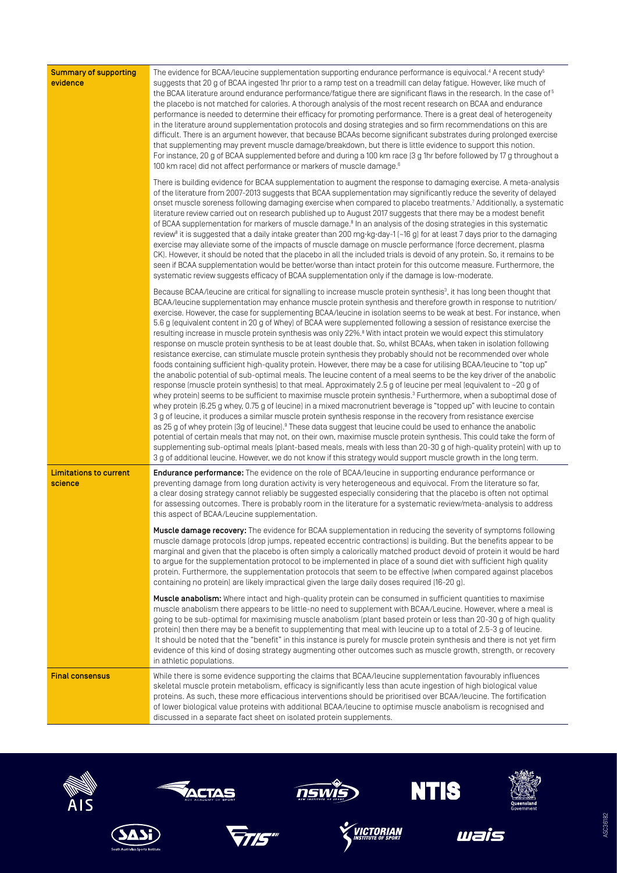| <b>Summary of supporting</b><br>evidence | The evidence for BCAA/leucine supplementation supporting endurance performance is equivocal. <sup>4</sup> A recent study <sup>5</sup><br>suggests that 20 g of BCAA ingested 1hr prior to a ramp test on a treadmill can delay fatigue. However, like much of<br>the BCAA literature around endurance performance/fatigue there are significant flaws in the research. In the case of <sup>5</sup><br>the placebo is not matched for calories. A thorough analysis of the most recent research on BCAA and endurance<br>performance is needed to determine their efficacy for promoting performance. There is a great deal of heterogeneity<br>in the literature around supplementation protocols and dosing strategies and so firm recommendations on this are<br>difficult. There is an argument however, that because BCAAs become significant substrates during prolonged exercise<br>that supplementing may prevent muscle damage/breakdown, but there is little evidence to support this notion.<br>For instance, 20 g of BCAA supplemented before and during a 100 km race [3 g 1hr before followed by 17 g throughout a                                                                                                                                                                                                                                                                                                                                                                                                                                                                                                                                                                                                                                                                                                                                                                                                                                                                                                                                                                                                               |
|------------------------------------------|-----------------------------------------------------------------------------------------------------------------------------------------------------------------------------------------------------------------------------------------------------------------------------------------------------------------------------------------------------------------------------------------------------------------------------------------------------------------------------------------------------------------------------------------------------------------------------------------------------------------------------------------------------------------------------------------------------------------------------------------------------------------------------------------------------------------------------------------------------------------------------------------------------------------------------------------------------------------------------------------------------------------------------------------------------------------------------------------------------------------------------------------------------------------------------------------------------------------------------------------------------------------------------------------------------------------------------------------------------------------------------------------------------------------------------------------------------------------------------------------------------------------------------------------------------------------------------------------------------------------------------------------------------------------------------------------------------------------------------------------------------------------------------------------------------------------------------------------------------------------------------------------------------------------------------------------------------------------------------------------------------------------------------------------------------------------------------------------------------------------------------------------------|
|                                          | 100 km race) did not affect performance or markers of muscle damage. <sup>6</sup><br>There is building evidence for BCAA supplementation to augment the response to damaging exercise. A meta-analysis<br>of the literature from 2007-2013 suggests that BCAA supplementation may significantly reduce the severity of delayed<br>onset muscle soreness following damaging exercise when compared to placebo treatments. <sup>7</sup> Additionally, a systematic<br>literature review carried out on research published up to August 2017 suggests that there may be a modest benefit<br>of BCAA supplementation for markers of muscle damage. <sup>8</sup> In an analysis of the dosing strategies in this systematic<br>review <sup>8</sup> it is suggested that a daily intake greater than 200 mg·kg·day-1 [~16 g] for at least 7 days prior to the damaging<br>exercise may alleviate some of the impacts of muscle damage on muscle performance (force decrement, plasma<br>CK). However, it should be noted that the placebo in all the included trials is devoid of any protein. So, it remains to be<br>seen if BCAA supplementation would be better/worse than intact protein for this outcome measure. Furthermore, the<br>systematic review suggests efficacy of BCAA supplementation only if the damage is low-moderate.                                                                                                                                                                                                                                                                                                                                                                                                                                                                                                                                                                                                                                                                                                                                                                                                         |
|                                          | Because BCAA/leucine are critical for signalling to increase muscle protein synthesis <sup>3</sup> , it has long been thought that<br>BCAA/leucine supplementation may enhance muscle protein synthesis and therefore growth in response to nutrition/<br>exercise. However, the case for supplementing BCAA/leucine in isolation seems to be weak at best. For instance, when<br>5.6 g (equivalent content in 20 g of Whey) of BCAA were supplemented following a session of resistance exercise the<br>resulting increase in muscle protein synthesis was only 22%. <sup>8</sup> With intact protein we would expect this stimulatory<br>response on muscle protein synthesis to be at least double that. So, whilst BCAAs, when taken in isolation following<br>resistance exercise, can stimulate muscle protein synthesis they probably should not be recommended over whole<br>foods containing sufficient high-quality protein. However, there may be a case for utilising BCAA/leucine to "top up"<br>the anabolic potential of sub-optimal meals. The leucine content of a meal seems to be the key driver of the anabolic<br>response (muscle protein synthesis) to that meal. Approximately 2.5 g of leucine per meal (equivalent to ~20 g of<br>whey protein) seems to be sufficient to maximise muscle protein synthesis. <sup>3</sup> Furthermore, when a suboptimal dose of<br>whey protein (6.25 g whey, 0.75 g of leucine) in a mixed macronutrient beverage is "topped up" with leucine to contain<br>3 g of leucine, it produces a similar muscle protein synthesis response in the recovery from resistance exercise<br>as 25 g of whey protein [3g of leucine]. <sup>9</sup> These data suggest that leucine could be used to enhance the anabolic<br>potential of certain meals that may not, on their own, maximise muscle protein synthesis. This could take the form of<br>supplementing sub-optimal meals (plant-based meals, meals with less than 20-30 g of high-quality protein) with up to<br>3 g of additional leucine. However, we do not know if this strategy would support muscle growth in the long term. |
| <b>Limitations to current</b><br>science | <b>Endurance performance:</b> The evidence on the role of BCAA/leucine in supporting endurance performance or<br>preventing damage from long duration activity is very heterogeneous and equivocal. From the literature so far,<br>a clear dosing strategy cannot reliably be suggested especially considering that the placebo is often not optimal<br>for assessing outcomes. There is probably room in the literature for a systematic review/meta-analysis to address<br>this aspect of BCAA/Leucine supplementation.                                                                                                                                                                                                                                                                                                                                                                                                                                                                                                                                                                                                                                                                                                                                                                                                                                                                                                                                                                                                                                                                                                                                                                                                                                                                                                                                                                                                                                                                                                                                                                                                                     |
|                                          | Muscle damage recovery: The evidence for BCAA supplementation in reducing the severity of symptoms following<br>muscle damage protocols (drop jumps, repeated eccentric contractions) is building. But the benefits appear to be<br>marginal and given that the placebo is often simply a calorically matched product devoid of protein it would be hard<br>to argue for the supplementation protocol to be implemented in place of a sound diet with sufficient high quality<br>protein. Furthermore, the supplementation protocols that seem to be effective (when compared against placebos<br>containing no protein) are likely impractical given the large daily doses required (16-20 g).                                                                                                                                                                                                                                                                                                                                                                                                                                                                                                                                                                                                                                                                                                                                                                                                                                                                                                                                                                                                                                                                                                                                                                                                                                                                                                                                                                                                                                               |
|                                          | Muscle anabolism: Where intact and high-quality protein can be consumed in sufficient quantities to maximise<br>muscle anabolism there appears to be little-no need to supplement with BCAA/Leucine. However, where a meal is<br>going to be sub-optimal for maximising muscle anabolism (plant based protein or less than 20-30 g of high quality<br>protein) then there may be a benefit to supplementing that meal with leucine up to a total of 2.5-3 g of leucine.<br>It should be noted that the "benefit" in this instance is purely for muscle protein synthesis and there is not yet firm<br>evidence of this kind of dosing strategy augmenting other outcomes such as muscle growth, strength, or recovery<br>in athletic populations.                                                                                                                                                                                                                                                                                                                                                                                                                                                                                                                                                                                                                                                                                                                                                                                                                                                                                                                                                                                                                                                                                                                                                                                                                                                                                                                                                                                             |
| <b>Final consensus</b>                   | While there is some evidence supporting the claims that BCAA/leucine supplementation favourably influences<br>skeletal muscle protein metabolism, efficacy is significantly less than acute ingestion of high biological value<br>proteins. As such, these more efficacious interventions should be prioritised over BCAA/leucine. The fortification<br>of lower biological value proteins with additional BCAA/leucine to optimise muscle anabolism is recognised and<br>discussed in a separate fact sheet on isolated protein supplements.                                                                                                                                                                                                                                                                                                                                                                                                                                                                                                                                                                                                                                                                                                                                                                                                                                                                                                                                                                                                                                                                                                                                                                                                                                                                                                                                                                                                                                                                                                                                                                                                 |